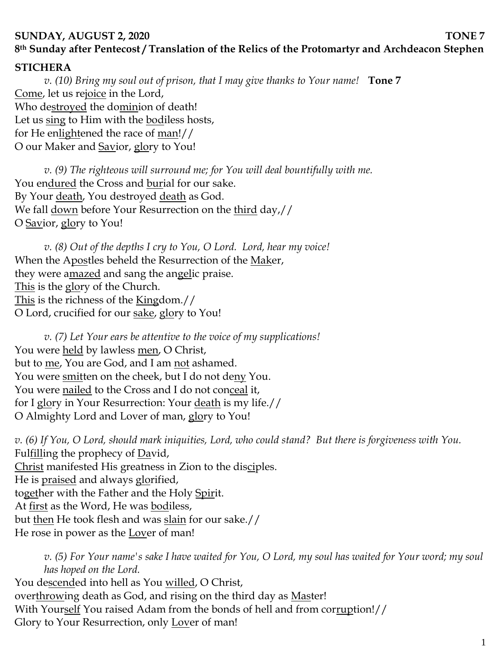## **SUNDAY, AUGUST 2, 2020** TONE 7 **8th Sunday after Pentecost / Translation of the Relics of the Protomartyr and Archdeacon Stephen**

## **STICHERA**

*v. (10) Bring my soul out of prison, that I may give thanks to Your name!* **Tone 7** Come, let us rejoice in the Lord, Who destroyed the dominion of death! Let us sing to Him with the bodiless hosts, for He enlightened the race of man!// O our Maker and Savior, glory to You!

*v.* (9) The righteous will surround me; for You will deal bountifully with me. You endured the Cross and burial for our sake. By Your <u>death</u>, You destroyed <u>death</u> as God. We fall <u>down</u> before Your Resurrection on the <u>third</u> day,// O Savior, glory to You!

*v. (8) Out of the depths I cry to You, O Lord. Lord, hear my voice!*  When the Apostles beheld the Resurrection of the Maker, they were amazed and sang the angelic praise. This is the glory of the Church. This is the richness of the Kingdom.// O Lord, crucified for our sake, glory to You!

*v. (7) Let Your ears be attentive to the voice of my supplications!* You were held by lawless men, O Christ, but to me, You are God, and I am not ashamed. You were smitten on the cheek, but I do not deny You. You were <u>nailed</u> to the Cross and I do not con<u>ceal</u> it, for I glory in Your Resurrection: Your death is my life.// O Almighty Lord and Lover of man, glory to You!

*v. (6) If You, O Lord, should mark iniquities, Lord, who could stand? But there is forgiveness with You.*  Fulfilling the prophecy of David, Christ manifested His greatness in Zion to the disciples. He is praised and always glorified, together with the Father and the Holy Spirit. At first as the Word, He was bodiless, but then He took flesh and was slain for our sake.// He rose in power as the <u>Lov</u>er of man!

*v. (5) For Your name's sake I have waited for You, O Lord, my soul has waited for Your word; my soul has hoped on the Lord.*  You descended into hell as You willed, O Christ, overthrowing death as God, and rising on the third day as Master! With Yourself You raised Adam from the bonds of hell and from corruption!// Glory to Your Resurrection, only Lover of man!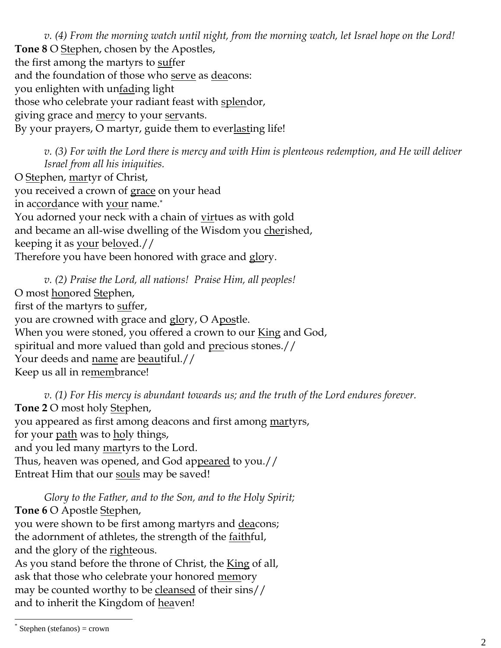*v. (4) From the morning watch until night, from the morning watch, let Israel hope on the Lord!*  **Tone 8** O Stephen, chosen by the Apostles, the first among the martyrs to suffer and the foundation of those who serve as deacons: you enlighten with unfading light those who celebrate your radiant feast with splendor, giving grace and mercy to your servants. By your prayers, O martyr, guide them to everlasting life!

*v. (3) For with the Lord there is mercy and with Him is plenteous redemption, and He will deliver Israel from all his iniquities.* O Stephen, martyr of Christ, you received a crown of grace on your head in accordance with your name.\* You adorned your neck with a chain of virtues as with gold and became an all-wise dwelling of the Wisdom you cherished, keeping it as your beloved.// Therefore you have been honored with grace and glory.

*v. (2) Praise the Lord, all nations! Praise Him, all peoples!* O most **honored** Stephen, first of the martyrs to suffer, you are crowned with grace and glory, O Apostle. When you were stoned, you offered a crown to our King and God, spiritual and more valued than gold and precious stones.// Your deeds and name are beautiful.// Keep us all in remembrance!

*v. (1) For His mercy is abundant towards us; and the truth of the Lord endures forever.*  **Tone 2** O most holy Stephen, you appeared as first among deacons and first among martyrs, for your <u>path</u> was to <u>ho</u>ly things, and you led many martyrs to the Lord. Thus, heaven was opened, and God appeared to you.// Entreat Him that our souls may be saved!

*Glory to the Father, and to the Son, and to the Holy Spirit;* **Tone 6** O Apostle Stephen, you were shown to be first among martyrs and deacons; the adornment of athletes, the strength of the faithful, and the glory of the <u>righteous</u>. As you stand before the throne of Christ, the King of all, ask that those who celebrate your honored memory may be counted worthy to be cleansed of their sins//

and to inherit the Kingdom of heaven!

 $\overline{a}$ 

<sup>\*</sup> Stephen (stefanos) = crown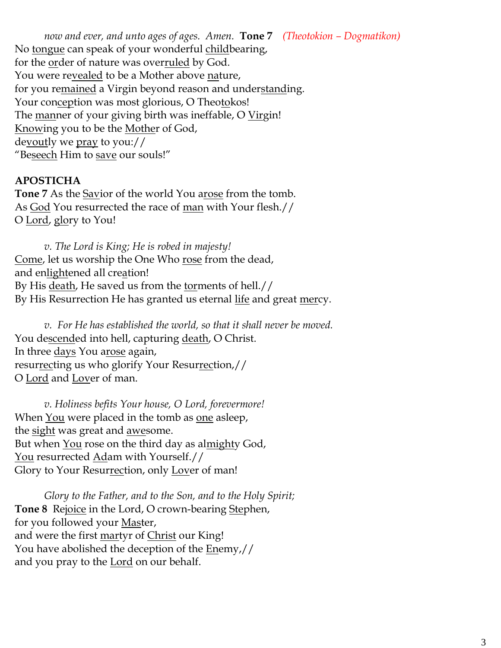*now and ever, and unto ages of ages. Amen.* **Tone 7** *(Theotokion – Dogmatikon)* No tongue can speak of your wonderful childbearing, for the order of nature was overruled by God. You were re<u>vealed</u> to be a Mother above nature, for you remained a Virgin beyond reason and understanding. Your conception was most glorious, O Theotokos! The manner of your giving birth was ineffable, O Virgin! Knowing you to be the Mother of God, devoutly we pray to you:// "Beseech Him to save our souls!"

## **APOSTICHA**

**Tone 7** As the Savior of the world You arose from the tomb. As God You resurrected the race of man with Your flesh.// O Lord, glory to You!

*v. The Lord is King; He is robed in majesty!*  Come, let us worship the One Who <u>rose</u> from the dead, and enlightened all creation! By His <u>death</u>, He saved us from the <u>tor</u>ments of hell.// By His Resurrection He has granted us eternal life and great mercy.

*v. For He has established the world, so that it shall never be moved.* You descended into hell, capturing death, O Christ. In three days You arose again, resurrecting us who glorify Your Resurrection,// O Lord and Lover of man.

*v. Holiness befits Your house, O Lord, forevermore!*  When <u>You</u> were placed in the tomb as <u>one</u> asleep, the <u>sight</u> was great and <u>awe</u>some. But when You rose on the third day as almighty God, You resurrected Adam with Yourself.// Glory to Your Resurrection, only Lover of man!

*Glory to the Father, and to the Son, and to the Holy Spirit;* **Tone 8** Rejoice in the Lord, O crown-bearing Stephen, for you followed your Master, and were the first martyr of Christ our King! You have abolished the deception of the **Enemy**,// and you pray to the **Lord** on our behalf.